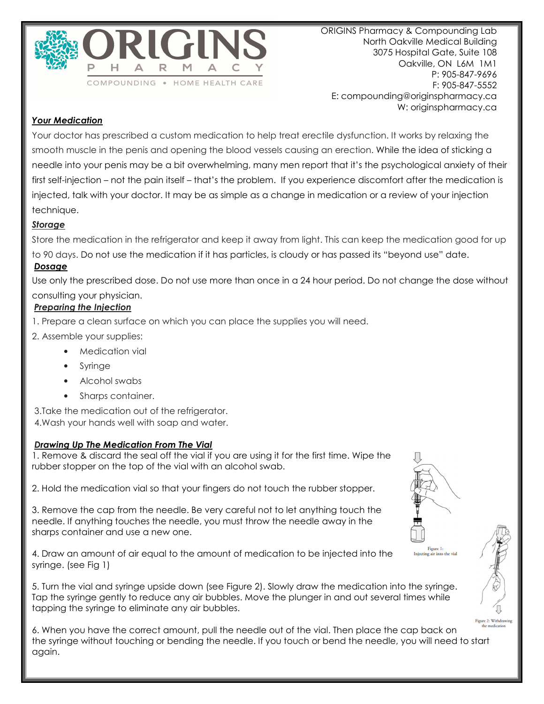

ORIGINS Pharmacy & Compounding Lab North Oakville Medical Building 3075 Hospital Gate, Suite 108 Oakville, ON L6M 1M1 P: 905-847-9696 F: 905-847-5552 E: compounding@originspharmacy.ca W: originspharmacy.ca

# *Your Medication*

Your doctor has prescribed a custom medication to help treat erectile dysfunction. It works by relaxing the smooth muscle in the penis and opening the blood vessels causing an erection. While the idea of sticking a needle into your penis may be a bit overwhelming, many men report that it's the psychological anxiety of their first self-injection – not the pain itself – that's the problem. If you experience discomfort after the medication is injected, talk with your doctor. It may be as simple as a change in medication or a review of your injection technique.

## *Storage*

Store the medication in the refrigerator and keep it away from light. This can keep the medication good for up to 90 days. Do not use the medication if it has particles, is cloudy or has passed its "beyond use" date. *Dosage*

Use only the prescribed dose. Do not use more than once in a 24 hour period. Do not change the dose without consulting your physician.

### *Preparing the Injection*

- 1. Prepare a clean surface on which you can place the supplies you will need.
- 2. Assemble your supplies:
	- Medication vial
	- **Syringe**
	- Alcohol swabs
	- Sharps container.

 3.Take the medication out of the refrigerator. 4.Wash your hands well with soap and water.

## *Drawing Up The Medication From The Vial*

1. Remove & discard the seal off the vial if you are using it for the first time. Wipe the rubber stopper on the top of the vial with an alcohol swab.

2. Hold the medication vial so that your fingers do not touch the rubber stopper.

3. Remove the cap from the needle. Be very careful not to let anything touch the needle. If anything touches the needle, you must throw the needle away in the sharps container and use a new one.

4. Draw an amount of air equal to the amount of medication to be injected into the syringe. (see Fig 1)

5. Turn the vial and syringe upside down (see Figure 2). Slowly draw the medication into the syringe. Tap the syringe gently to reduce any air bubbles. Move the plunger in and out several times while tapping the syringe to eliminate any air bubbles.



Figure 1:



6. When you have the correct amount, pull the needle out of the vial. Then place the cap back on the syringe without touching or bending the needle. If you touch or bend the needle, you will need to start again.